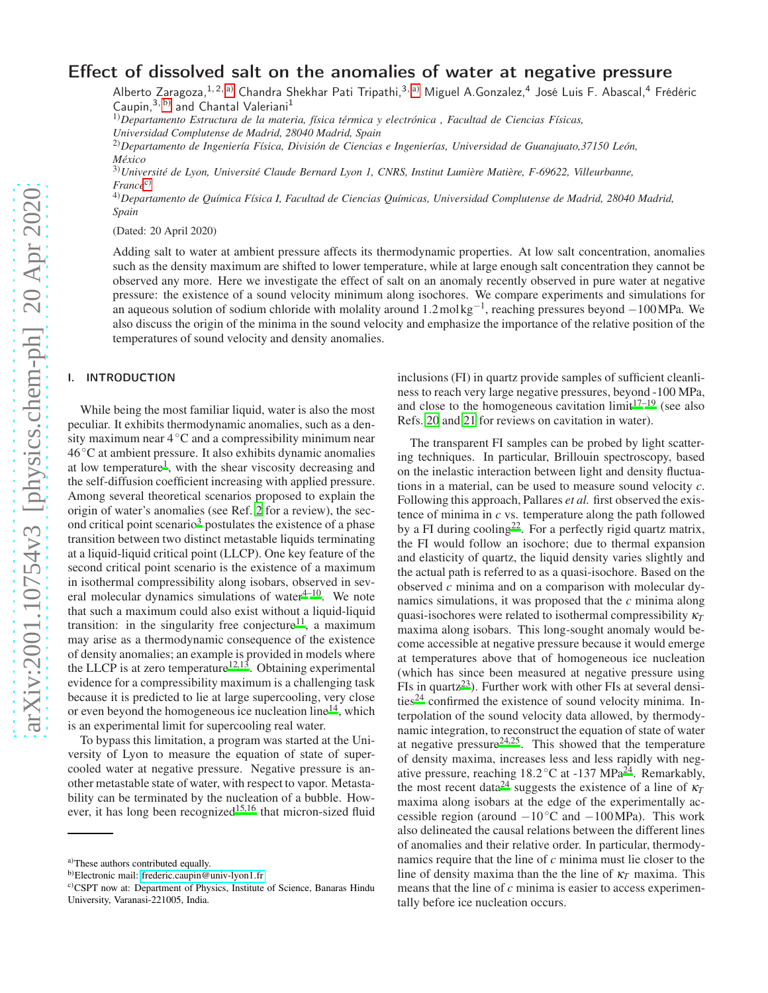# Effect of dissolved salt on the anomalies of water at negative pressure

Alberto Zaragoza,<sup>1,2, [a\)](#page-0-0)</sup> Chandra Shekhar Pati Tripathi,<sup>3, a)</sup> Miguel A.Gonzalez,<sup>4</sup> José Luis F. Abascal,<sup>4</sup> Frédéric Caupin,  $3, b$ ) and Chantal Valeriani<sup>1</sup>

1)*Departamento Estructura de la materia, física térmica y electrónica , Facultad de Ciencias Físicas, Universidad Complutense de Madrid, 28040 Madrid, Spain*

2)*Departamento de Ingeniería Física, División de Ciencias e Ingenierías, Universidad de Guanajuato,37150 León, México*

3)*Université de Lyon, Université Claude Bernard Lyon 1, CNRS, Institut Lumière Matière, F-69622, Villeurbanne, France*[c\)](#page-0-2)

4)*Departamento de Química Física I, Facultad de Ciencias Químicas, Universidad Complutense de Madrid, 28040 Madrid, Spain*

(Dated: 20 April 2020)

Adding salt to water at ambient pressure affects its thermodynamic properties. At low salt concentration, anomalies such as the density maximum are shifted to lower temperature, while at large enough salt concentration they cannot be observed any more. Here we investigate the effect of salt on an anomaly recently observed in pure water at negative pressure: the existence of a sound velocity minimum along isochores. We compare experiments and simulations for an aqueous solution of sodium chloride with molality around 1.2mol kg−<sup>1</sup> , reaching pressures beyond −100MPa. We also discuss the origin of the minima in the sound velocity and emphasize the importance of the relative position of the temperatures of sound velocity and density anomalies.

# I. INTRODUCTION

While being the most familiar liquid, water is also the most peculiar. It exhibits thermodynamic anomalies, such as a density maximum near 4◦C and a compressibility minimum near 46◦C at ambient pressure. It also exhibits dynamic anomalies at low temperature<sup>[1](#page-9-0)</sup>, with the shear viscosity decreasing and the self-diffusion coefficient increasing with applied pressure. Among several theoretical scenarios proposed to explain the origin of water's anomalies (see Ref. [2](#page-9-1) for a review), the sec-ond critical point scenario<sup>[3](#page-9-2)</sup> postulates the existence of a phase transition between two distinct metastable liquids terminating at a liquid-liquid critical point (LLCP). One key feature of the second critical point scenario is the existence of a maximum in isothermal compressibility along isobars, observed in several molecular dynamics simulations of water $4^{-10}$  $4^{-10}$ . We note that such a maximum could also exist without a liquid-liquid transition: in the singularity free conjecture<sup>[11](#page-9-5)</sup>, a maximum may arise as a thermodynamic consequence of the existence of density anomalies; an example is provided in models where th[e](#page-9-6) LLCP is at zero temperature<sup>12[,13](#page-9-7)</sup>. Obtaining experimental evidence for a compressibility maximum is a challenging task because it is predicted to lie at large supercooling, very close or even beyond the homogeneous ice nucleation line<sup>[14](#page-9-8)</sup>, which is an experimental limit for supercooling real water.

To bypass this limitation, a program was started at the University of Lyon to measure the equation of state of supercooled water at negative pressure. Negative pressure is another metastable state of water, with respect to vapor. Metastability can be terminated by the nucleation of a bubble. How-ever, it has long been recognized<sup>[15](#page-9-9)[,16](#page-9-10)</sup> that micron-sized fluid inclusions (FI) in quartz provide samples of sufficient cleanliness to reach very large negative pressures, beyond -100 MPa, and close to the homogeneous cavitation  $\lim_{t \to 1} t^{17-19}$  $\lim_{t \to 1} t^{17-19}$  $\lim_{t \to 1} t^{17-19}$  (see also Refs. [20](#page-9-13) and [21](#page-9-14) for reviews on cavitation in water).

The transparent FI samples can be probed by light scattering techniques. In particular, Brillouin spectroscopy, based on the inelastic interaction between light and density fluctuations in a material, can be used to measure sound velocity *c*. Following this approach, Pallares *et al.* first observed the existence of minima in *c* vs. temperature along the path followed by a FI durin[g](#page-9-15) cooling<sup>22</sup>. For a perfectly rigid quartz matrix, the FI would follow an isochore; due to thermal expansion and elasticity of quartz, the liquid density varies slightly and the actual path is referred to as a quasi-isochore. Based on the observed *c* minima and on a comparison with molecular dynamics simulations, it was proposed that the *c* minima along quasi-isochores were related to isothermal compressibility <sup>κ</sup>*<sup>T</sup>* maxima along isobars. This long-sought anomaly would become accessible at negative pressure because it would emerge at temperatures above that of homogeneous ice nucleation (which has since been measured at negative pressure using FIs in quart[z](#page-9-16)<sup>23</sup>). Further work with other FIs at several densi- $ties<sup>24</sup> confirmed the existence of sound velocity minima. In ties<sup>24</sup> confirmed the existence of sound velocity minima. In ties<sup>24</sup> confirmed the existence of sound velocity minima. In$ terpolation of the sound velocity data allowed, by thermodynamic integration, to reconstruct the equation of state of water at negative pressure $24.25$  $24.25$ . This showed that the temperature of density maxima, increases less and less rapidly with negative pressure, reaching  $18.2^{\circ}$ C at -137 MPa<sup>[24](#page-9-17)</sup>. Remarkably, the most recent data<sup>[24](#page-9-17)</sup> suggests the existence of a line of  $\kappa_T$ maxima along isobars at the edge of the experimentally accessible region (around  $-10\degree$ C and  $-100$ MPa). This work also delineated the causal relations between the different lines of anomalies and their relative order. In particular, thermodynamics require that the line of *c* minima must lie closer to the line of density maxima than the the line of  $\kappa_T$  maxima. This means that the line of *c* minima is easier to access experimentally before ice nucleation occurs.

<span id="page-0-0"></span>a)These authors contributed equally.

<span id="page-0-1"></span>b)Electronic mail: [frederic.caupin@univ-lyon1.fr](mailto:frederic.caupin@univ-lyon1.fr)

<span id="page-0-2"></span>c)CSPT now at: Department of Physics, Institute of Science, Banaras Hindu University, Varanasi-221005, India.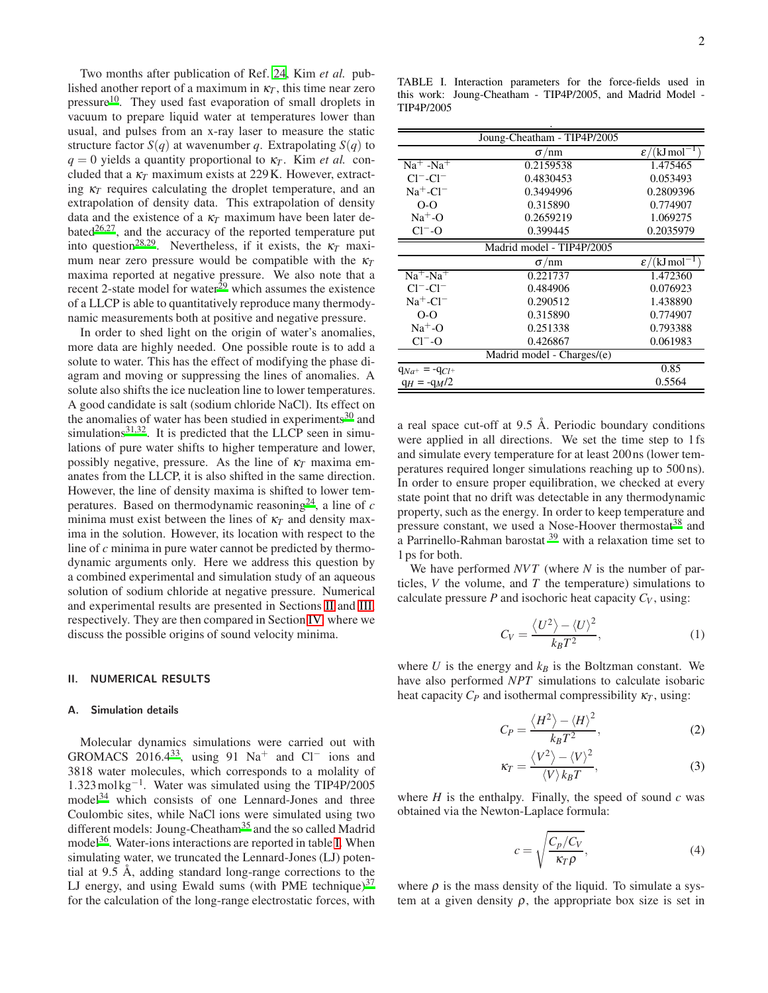Two months after publication of Ref. [24](#page-9-17), Kim *et al.* published another report of a maximum in  $\kappa_T$ , this time near zero pressure<sup>[10](#page-9-4)</sup>. They used fast evaporation of small droplets in vacuum to prepare liquid water at temperatures lower than usual, and pulses from an x-ray laser to measure the static structure factor  $S(q)$  at wavenumber *q*. Extrapolating  $S(q)$  to  $q = 0$  yields a quantity proportional to  $\kappa_T$ . Kim *et al.* concluded that a  $\kappa_T$  maximum exists at 229 K. However, extracting  $\kappa_T$  requires calculating the droplet temperature, and an extrapolation of density data. This extrapolation of density data and the existence of a  $\kappa_T$  maximum have been later debated $26,27$  $26,27$ , and the accuracy of the reported temperature put into question<sup>[28](#page-9-21)[,29](#page-9-22)</sup>. Nevertheless, if it exists, the  $\kappa_T$  maximum near zero pressure would be compatible with the <sup>κ</sup>*<sup>T</sup>* maxima reported at negative pressure. We also note that a recent 2-state model for water $^{29}$  $^{29}$  $^{29}$  which assumes the existence of a LLCP is able to quantitatively reproduce many thermodynamic measurements both at positive and negative pressure.

In order to shed light on the origin of water's anomalies, more data are highly needed. One possible route is to add a solute to water. This has the effect of modifying the phase diagram and moving or suppressing the lines of anomalies. A solute also shifts the ice nucleation line to lower temperatures. A good candidate is salt (sodium chloride NaCl). Its effect on the anomalies of water has been studied in experiments $30$  and simulations $31,32$  $31,32$ . It is predicted that the LLCP seen in simulations of pure water shifts to higher temperature and lower, possibly negative, pressure. As the line of <sup>κ</sup>*<sup>T</sup>* maxima emanates from the LLCP, it is also shifted in the same direction. However, the line of density maxima is shifted to lower tem-peratures. Based on thermodynamic reasoning<sup>[24](#page-9-17)</sup>, a line of  $c$ minima must exist between the lines of <sup>κ</sup>*<sup>T</sup>* and density maxima in the solution. However, its location with respect to the line of *c* minima in pure water cannot be predicted by thermodynamic arguments only. Here we address this question by a combined experimental and simulation study of an aqueous solution of sodium chloride at negative pressure. Numerical and experimental results are presented in Sections [II](#page-1-0) and [III,](#page-3-0) respectively. They are then compared in Section [IV,](#page-5-0) where we discuss the possible origins of sound velocity minima.

#### <span id="page-1-0"></span>II. NUMERICAL RESULTS

#### A. Simulation details

Molecular dynamics simulations were carried out with GROMACS 2016.4<sup>[33](#page-9-26)</sup>, using 91 Na<sup>+</sup> and Cl<sup>−</sup> ions and 3818 water molecules, which corresponds to a molality of 1.323mol kg−<sup>1</sup> . Water was simulated using the TIP4P/2005 model[34](#page-9-27) which consists of one Lennard-Jones and three Coulombic sites, while NaCl ions were simulated using two different [m](#page-9-28)odels: Joung-Cheatham<sup>35</sup> and the so called Madrid model<sup>[36](#page-9-29)</sup>. Water-ions interactions are reported in table [I.](#page-1-1) When simulating water, we truncated the Lennard-Jones (LJ) potential at 9.5 Å, adding standard long-range corrections to the LJ energy, and using Ewald sums (with PME technique) $37$ for the calculation of the long-range electrostatic forces, with

<span id="page-1-1"></span>TABLE I. Interaction parameters for the force-fields used in this work: Joung-Cheatham - TIP4P/2005, and Madrid Model - TIP4P/2005

| Joung-Cheatham - TIP4P/2005 |                            |                                       |  |
|-----------------------------|----------------------------|---------------------------------------|--|
|                             | $\sigma$ /nm               | $\varepsilon/(kJ$ mol <sup>-1</sup> ) |  |
| $Na+ - Na+$                 | 0.2159538                  | 1.475465                              |  |
| $Cl^-$ - $Cl^-$             | 0.4830453                  | 0.053493                              |  |
| $Na^+$ -Cl <sup>-1</sup>    | 0.3494996                  | 0.2809396                             |  |
| $O-O$                       | 0.315890                   | 0.774907                              |  |
| $Na+-O$                     | 0.2659219                  | 1.069275                              |  |
| $Cl^-$ -O                   | 0.399445                   | 0.2035979                             |  |
|                             | Madrid model - TIP4P/2005  |                                       |  |
|                             | $\sigma$ /nm               | $\varepsilon/(kJ$ mol <sup>-1</sup> ) |  |
| $Na^+$ -Na <sup>+</sup>     | 0.221737                   | 1.472360                              |  |
| $Cl^-$ - $Cl^-$             | 0.484906                   | 0.076923                              |  |
| $Na^+$ -Cl <sup>-1</sup>    | 0.290512                   | 1.438890                              |  |
| $O-O$                       | 0.315890                   | 0.774907                              |  |
| $Na+-O$                     | 0.251338                   | 0.793388                              |  |
| $Cl^-$ -O                   | 0.426867                   | 0.061983                              |  |
|                             | Madrid model - Charges/(e) |                                       |  |
| $q_{Na^+} = -q_{Cl^+}$      |                            | 0.85                                  |  |
| $q_H = -q_M/2$              |                            | 0.5564                                |  |

a real space cut-off at 9.5 Å. Periodic boundary conditions were applied in all directions. We set the time step to 1 fs and simulate every temperature for at least 200 ns (lower temperatures required longer simulations reaching up to 500 ns). In order to ensure proper equilibration, we checked at every state point that no drift was detectable in any thermodynamic property, such as the energy. In order to keep temperature and pressure constant, we used a Nose-Hoover thermostat<sup>[38](#page-9-31)</sup> and a Parrinello-Rahman barostat  $39$  with a relaxation time set to 1 ps for both.

We have performed *NVT* (where *N* is the number of particles, *V* the volume, and *T* the temperature) simulations to calculate pressure  $P$  and isochoric heat capacity  $C_V$ , using:

$$
C_V = \frac{\langle U^2 \rangle - \langle U \rangle^2}{k_B T^2},\tag{1}
$$

where  $U$  is the energy and  $k_B$  is the Boltzman constant. We have also performed *NPT* simulations to calculate isobaric heat capacity  $C_P$  and isothermal compressibility  $\kappa_T$ , using:

$$
C_P = \frac{\langle H^2 \rangle - \langle H \rangle^2}{k_B T^2},\tag{2}
$$

$$
\kappa_T = \frac{\langle V^2 \rangle - \langle V \rangle^2}{\langle V \rangle k_B T},\tag{3}
$$

where  $H$  is the enthalpy. Finally, the speed of sound  $c$  was obtained via the Newton-Laplace formula:

$$
c = \sqrt{\frac{C_p/C_V}{\kappa_T \rho}},\tag{4}
$$

where  $\rho$  is the mass density of the liquid. To simulate a system at a given density  $\rho$ , the appropriate box size is set in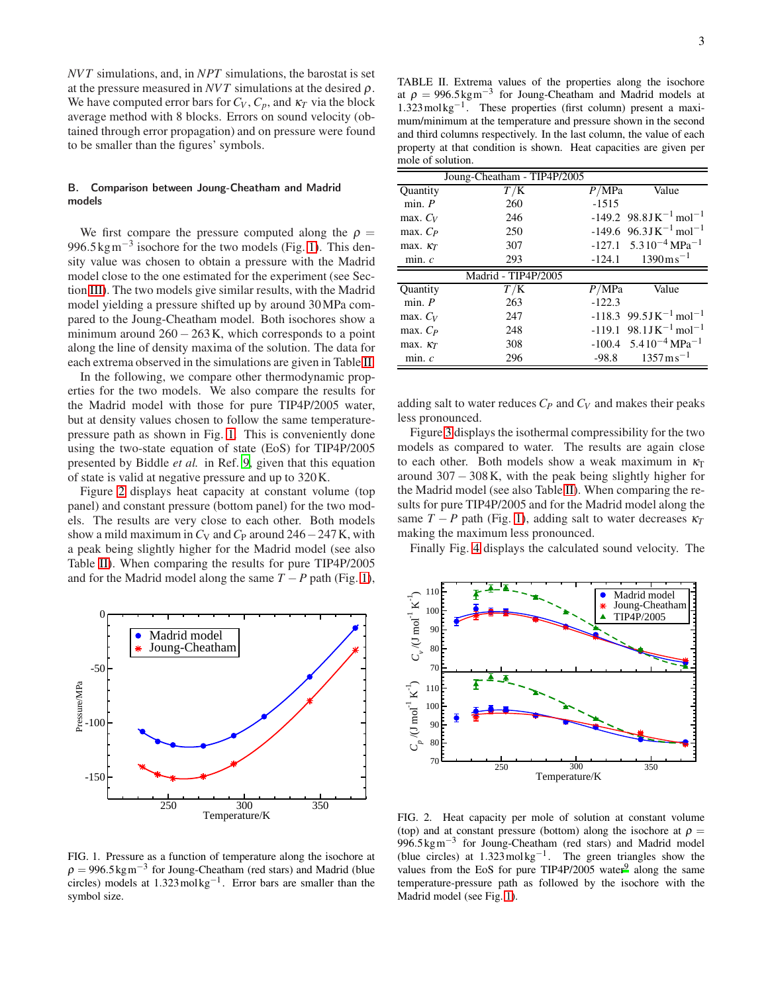*NVT* simulations, and, in *NPT* simulations, the barostat is set at the pressure measured in  $NVT$  simulations at the desired  $\rho$ . We have computed error bars for  $C_V$ ,  $C_p$ , and  $\kappa_T$  via the block average method with 8 blocks. Errors on sound velocity (obtained through error propagation) and on pressure were found to be smaller than the figures' symbols.

# <span id="page-2-3"></span>B. Comparison between Joung-Cheatham and Madrid models

We first compare the pressure computed along the  $\rho =$ 996.5 kg m<sup>-3</sup> isochore for the two models (Fig. [1\)](#page-2-0). This density value was chosen to obtain a pressure with the Madrid model close to the one estimated for the experiment (see Section [III\)](#page-3-0). The two models give similar results, with the Madrid model yielding a pressure shifted up by around 30MPa compared to the Joung-Cheatham model. Both isochores show a minimum around  $260 - 263$  K, which corresponds to a point along the line of density maxima of the solution. The data for each extrema observed in the simulations are given in Table [II.](#page-2-1)

In the following, we compare other thermodynamic properties for the two models. We also compare the results for the Madrid model with those for pure TIP4P/2005 water, but at density values chosen to follow the same temperaturepressure path as shown in Fig. [1.](#page-2-0) This is conveniently done using the two-state equation of state (EoS) for TIP4P/2005 presented by Biddle *et al.* in Ref. [9,](#page-9-33) given that this equation of state is valid at negative pressure and up to 320K.

Figure [2](#page-2-2) displays heat capacity at constant volume (top panel) and constant pressure (bottom panel) for the two models. The results are very close to each other. Both models show a mild maximum in  $C_V$  and  $C_P$  around 246 – 247 K, with a peak being slightly higher for the Madrid model (see also Table [II\)](#page-2-1). When comparing the results for pure TIP4P/2005 and for the Madrid model along the same  $T - P$  path (Fig. [1\)](#page-2-0),



<span id="page-2-0"></span>FIG. 1. Pressure as a function of temperature along the isochore at  $\rho = 996.5 \text{kg m}^{-3}$  for Joung-Cheatham (red stars) and Madrid (blue circles) models at  $1.323 \text{ mol kg}^{-1}$ . Error bars are smaller than the symbol size.

<span id="page-2-1"></span>TABLE II. Extrema values of the properties along the isochore at  $\rho = 996.5 \text{kg m}^{-3}$  for Joung-Cheatham and Madrid models at 1.323mol kg−<sup>1</sup> . These properties (first column) present a maximum/minimum at the temperature and pressure shown in the second and third columns respectively. In the last column, the value of each property at that condition is shown. Heat capacities are given per mole of solution.

|                 | Joung-Cheatham - TIP4P/2005 |          |                                                 |
|-----------------|-----------------------------|----------|-------------------------------------------------|
| Quantity        | T/K                         | P/MPa    | Value                                           |
| min. P          | 260                         | $-1515$  |                                                 |
| max. $C_V$      | 246                         |          | $-149.2$ 98.8JK <sup>-1</sup> mol <sup>-1</sup> |
| max. $C_P$      | 250                         |          | $-149.6$ 96.3JK <sup>-1</sup> mol <sup>-1</sup> |
| max. $\kappa_T$ | 307                         |          | $-127.1$ 5.3 $10^{-4}$ MPa <sup>-1</sup>        |
| min.c           | 293                         | $-124.1$ | $1390 \,\mathrm{m}\,\mathrm{s}^{-1}$            |
|                 | Madrid - TIP4P/2005         |          |                                                 |
| Quantity        | T/K                         | P/MPa    | Value                                           |
| min. P          | 263                         | $-122.3$ |                                                 |
| max. $C_V$      | 247                         |          | $-118.3$ 99.5JK <sup>-1</sup> mol <sup>-1</sup> |
| max. $C_P$      | 248                         |          | $-119.1$ 98.1JK <sup>-1</sup> mol <sup>-1</sup> |
| max. $\kappa_T$ | 308                         |          | $-100.4$ 5.4 $10^{-4}$ MPa <sup>-1</sup>        |
| min.c           | 296                         | $-98.8$  | $1357 \,\mathrm{m}\,\mathrm{s}^{-1}$            |

adding salt to water reduces *C<sup>P</sup>* and *C<sup>V</sup>* and makes their peaks less pronounced.

Figure [3](#page-3-1) displays the isothermal compressibility for the two models as compared to water. The results are again close to each other. Both models show a weak maximum in  $\kappa_T$ around  $307 - 308$ K, with the peak being slightly higher for the Madrid model (see also Table [II\)](#page-2-1). When comparing the results for pure TIP4P/2005 and for the Madrid model along the same  $T - P$  path (Fig. [1\)](#page-2-0), adding salt to water decreases  $\kappa_T$ making the maximum less pronounced.

Finally Fig. [4](#page-3-2) displays the calculated sound velocity. The



<span id="page-2-2"></span>FIG. 2. Heat capacity per mole of solution at constant volume (top) and at constant pressure (bottom) along the isochore at  $\rho =$ 996.5 kgm<sup>-3</sup> for Joung-Cheatham (red stars) and Madrid model (blue circles) at  $1.323 \text{ mol} \text{kg}^{-1}$ . The green triangles show the values from the EoS for pure TIP4P/2005 water $9$  along the same temperature-pressure path as followed by the isochore with the Madrid model (see Fig. [1\)](#page-2-0).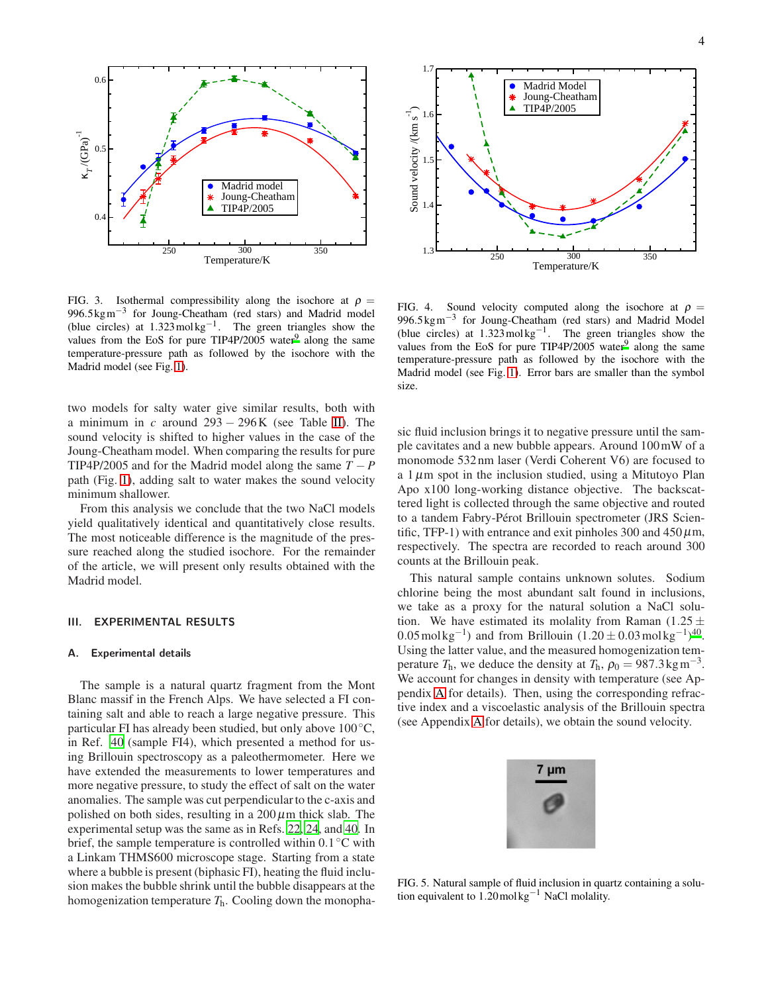

<span id="page-3-1"></span>FIG. 3. Isothermal compressibility along the isochore at  $\rho =$ 996.5 kgm<sup>-3</sup> for Joung-Cheatham (red stars) and Madrid model (blue circles) at  $1.323 \text{ mol kg}^{-1}$ . The green triangles show the values f[r](#page-9-33)om the EoS for pure TIP4P/2005 water $9$  along the same temperature-pressure path as followed by the isochore with the Madrid model (see Fig. [1\)](#page-2-0).

two models for salty water give similar results, both with a minimum in *c* around 293 − 296K (see Table [II\)](#page-2-1). The sound velocity is shifted to higher values in the case of the Joung-Cheatham model. When comparing the results for pure TIP4P/2005 and for the Madrid model along the same  $T - P$ path (Fig. [1\)](#page-2-0), adding salt to water makes the sound velocity minimum shallower.

From this analysis we conclude that the two NaCl models yield qualitatively identical and quantitatively close results. The most noticeable difference is the magnitude of the pressure reached along the studied isochore. For the remainder of the article, we will present only results obtained with the Madrid model.

## <span id="page-3-0"></span>III. EXPERIMENTAL RESULTS

#### A. Experimental details

The sample is a natural quartz fragment from the Mont Blanc massif in the French Alps. We have selected a FI containing salt and able to reach a large negative pressure. This particular FI has already been studied, but only above  $100 °C$ , in Ref. [40](#page-9-34) (sample FI4), which presented a method for using Brillouin spectroscopy as a paleothermometer. Here we have extended the measurements to lower temperatures and more negative pressure, to study the effect of salt on the water anomalies. The sample was cut perpendicular to the c-axis and polished on both sides, resulting in a  $200 \mu m$  thick slab. The experimental setup was the same as in Refs. [22,](#page-9-15) [24](#page-9-17), and [40](#page-9-34). In brief, the sample temperature is controlled within 0.1 °C with a Linkam THMS600 microscope stage. Starting from a state where a bubble is present (biphasic FI), heating the fluid inclusion makes the bubble shrink until the bubble disappears at the homogenization temperature *T*h. Cooling down the monopha-



<span id="page-3-2"></span>FIG. 4. Sound velocity computed along the isochore at  $\rho =$ 996.5 kgm<sup>-3</sup> for Joung-Cheatham (red stars) and Madrid Model (blue circles) at  $1.323 \text{ mol kg}^{-1}$ . The green triangles show the values from the EoS for pure TIP4P/2005 water $9$  along the same temperature-pressure path as followed by the isochore with the Madrid model (see Fig. [1\)](#page-2-0). Error bars are smaller than the symbol size.

sic fluid inclusion brings it to negative pressure until the sample cavitates and a new bubble appears. Around 100mW of a monomode 532 nm laser (Verdi Coherent V6) are focused to a  $1 \mu$ m spot in the inclusion studied, using a Mitutoyo Plan Apo x100 long-working distance objective. The backscattered light is collected through the same objective and routed to a tandem Fabry-Pérot Brillouin spectrometer (JRS Scientific, TFP-1) with entrance and exit pinholes 300 and  $450 \,\mu$ m, respectively. The spectra are recorded to reach around 300 counts at the Brillouin peak.

This natural sample contains unknown solutes. Sodium chlorine being the most abundant salt found in inclusions, we take as a proxy for the natural solution a NaCl solution. We have estimated its molality from Raman (1.25  $\pm$ 0.05 mol kg<sup>-1</sup>[\)](#page-9-34) and from Brillouin  $(1.20 \pm 0.03 \,\text{mol} \,\text{kg}^{-1})^{40}$ . Using the latter value, and the measured homogenization temperature  $T_h$ , we deduce the density at  $T_h$ ,  $\rho_0 = 987.3 \text{kg m}^{-3}$ . We account for changes in density with temperature (see Appendix [A](#page-8-0) for details). Then, using the corresponding refractive index and a viscoelastic analysis of the Brillouin spectra (see Appendix [A](#page-8-0) for details), we obtain the sound velocity.



FIG. 5. Natural sample of fluid inclusion in quartz containing a solution equivalent to 1.20mol kg−<sup>1</sup> NaCl molality.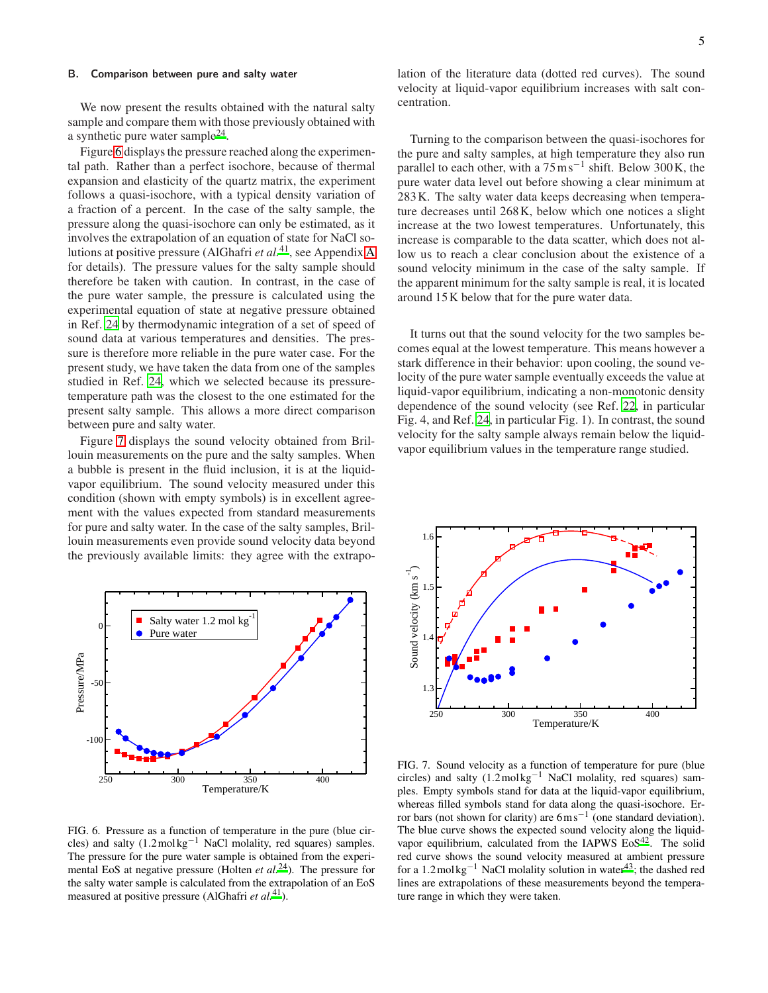#### <span id="page-4-2"></span>B. Comparison between pure and salty water

We now present the results obtained with the natural salty sample and compare them with those previously obtained with a synthetic pure water sample<sup>[24](#page-9-17)</sup>.

Figure [6](#page-4-0) displays the pressure reached along the experimental path. Rather than a perfect isochore, because of thermal expansion and elasticity of the quartz matrix, the experiment follows a quasi-isochore, with a typical density variation of a fraction of a percent. In the case of the salty sample, the pressure along the quasi-isochore can only be estimated, as it involves the extrapolation of an equation of state for NaCl solutions at positive pressure (AlGhafri *et al.*[41](#page-9-35), see Appendix [A](#page-8-0) for details). The pressure values for the salty sample should therefore be taken with caution. In contrast, in the case of the pure water sample, the pressure is calculated using the experimental equation of state at negative pressure obtained in Ref. [24](#page-9-17) by thermodynamic integration of a set of speed of sound data at various temperatures and densities. The pressure is therefore more reliable in the pure water case. For the present study, we have taken the data from one of the samples studied in Ref. [24,](#page-9-17) which we selected because its pressuretemperature path was the closest to the one estimated for the present salty sample. This allows a more direct comparison between pure and salty water.

Figure [7](#page-4-1) displays the sound velocity obtained from Brillouin measurements on the pure and the salty samples. When a bubble is present in the fluid inclusion, it is at the liquidvapor equilibrium. The sound velocity measured under this condition (shown with empty symbols) is in excellent agreement with the values expected from standard measurements for pure and salty water. In the case of the salty samples, Brillouin measurements even provide sound velocity data beyond the previously available limits: they agree with the extrapo-



<span id="page-4-0"></span>FIG. 6. Pressure as a function of temperature in the pure (blue circles) and salty  $(1.2 \text{ mol kg}^{-1} \text{ NaCl}$  molality, red squares) samples. The pressure for the pure water sample is obtained from the experimental EoS at negative pressure (Holten *et al.*[24](#page-9-17)). The pressure for the salty water sample is calculated from the extrapolation of an EoS measured at positive pressure (AlGhafri *et al.*[41](#page-9-35)).

lation of the literature data (dotted red curves). The sound velocity at liquid-vapor equilibrium increases with salt concentration.

Turning to the comparison between the quasi-isochores for the pure and salty samples, at high temperature they also run parallel to each other, with a  $75 \text{ m s}^{-1}$  shift. Below 300 K, the pure water data level out before showing a clear minimum at 283K. The salty water data keeps decreasing when temperature decreases until 268K, below which one notices a slight increase at the two lowest temperatures. Unfortunately, this increase is comparable to the data scatter, which does not allow us to reach a clear conclusion about the existence of a sound velocity minimum in the case of the salty sample. If the apparent minimum for the salty sample is real, it is located around 15K below that for the pure water data.

It turns out that the sound velocity for the two samples becomes equal at the lowest temperature. This means however a stark difference in their behavior: upon cooling, the sound velocity of the pure water sample eventually exceeds the value at liquid-vapor equilibrium, indicating a non-monotonic density dependence of the sound velocity (see Ref. [22,](#page-9-15) in particular Fig. 4, and Ref. [24](#page-9-17), in particular Fig. 1). In contrast, the sound velocity for the salty sample always remain below the liquidvapor equilibrium values in the temperature range studied.



<span id="page-4-1"></span>FIG. 7. Sound velocity as a function of temperature for pure (blue circles) and salty  $(1.2 \text{ mol kg}^{-1} \text{ NaCl}$  molality, red squares) samples. Empty symbols stand for data at the liquid-vapor equilibrium, whereas filled symbols stand for data along the quasi-isochore. Error bars (not shown for clarity) are  $6 \text{ ms}^{-1}$  (one standard deviation). The blue curve shows the expected sound velocity along the liquidvapor equilibrium, calculated from the IAPWS  $EoS<sup>42</sup>$  $EoS<sup>42</sup>$  $EoS<sup>42</sup>$ . The solid red curve shows the sound velocity measured at ambient pressure for a 1.2mol kg<sup>-1</sup> NaCl molality solution in water<sup>[43](#page-9-37)</sup>; the dashed red lines are extrapolations of these measurements beyond the temperature range in which they were taken.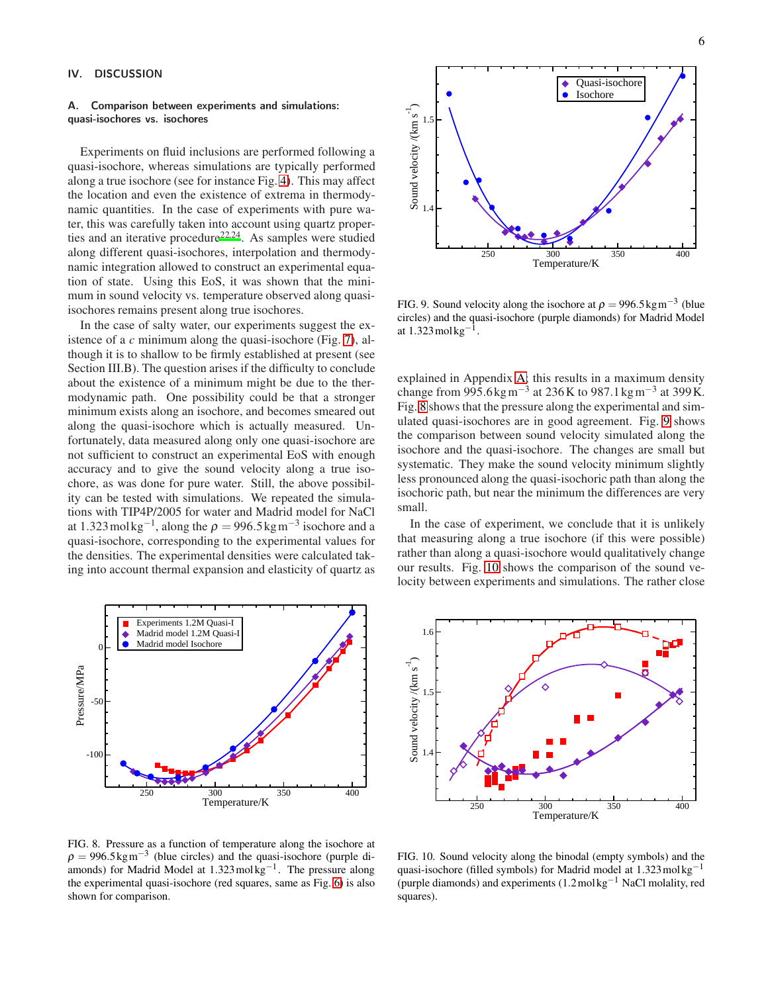# <span id="page-5-0"></span>IV. DISCUSSION

#### A. Comparison between experiments and simulations: quasi-isochores vs. isochores

Experiments on fluid inclusions are performed following a quasi-isochore, whereas simulations are typically performed along a true isochore (see for instance Fig. [4\)](#page-3-2). This may affect the location and even the existence of extrema in thermodynamic quantities. In the case of experiments with pure water, this was carefully taken into account using quartz properti[e](#page-9-15)s and an iterative procedure<sup>2[2,24](#page-9-17)</sup>. As samples were studied along different quasi-isochores, interpolation and thermodynamic integration allowed to construct an experimental equation of state. Using this EoS, it was shown that the minimum in sound velocity vs. temperature observed along quasiisochores remains present along true isochores.

In the case of salty water, our experiments suggest the existence of a *c* minimum along the quasi-isochore (Fig. [7\)](#page-4-1), although it is to shallow to be firmly established at present (see Section III.B). The question arises if the difficulty to conclude about the existence of a minimum might be due to the thermodynamic path. One possibility could be that a stronger minimum exists along an isochore, and becomes smeared out along the quasi-isochore which is actually measured. Unfortunately, data measured along only one quasi-isochore are not sufficient to construct an experimental EoS with enough accuracy and to give the sound velocity along a true isochore, as was done for pure water. Still, the above possibility can be tested with simulations. We repeated the simulations with TIP4P/2005 for water and Madrid model for NaCl at 1.323 mol $\text{kg}^{-1}$ , along the  $\rho = 996.5 \text{kg m}^{-3}$  isochore and a quasi-isochore, corresponding to the experimental values for the densities. The experimental densities were calculated taking into account thermal expansion and elasticity of quartz as



<span id="page-5-1"></span>FIG. 8. Pressure as a function of temperature along the isochore at  $\rho = 996.5 \text{kg m}^{-3}$  (blue circles) and the quasi-isochore (purple diamonds) for Madrid Model at  $1.323$  mol $\text{kg}^{-1}$ . The pressure along the experimental quasi-isochore (red squares, same as Fig. [6\)](#page-4-0) is also shown for comparison.



<span id="page-5-2"></span>FIG. 9. Sound velocity along the isochore at  $\rho = 996.5 \text{kg m}^{-3}$  (blue circles) and the quasi-isochore (purple diamonds) for Madrid Model at 1.323mol kg−<sup>1</sup> .

explained in Appendix [A;](#page-8-0) this results in a maximum density change from 995.6 kg m<sup>-3</sup> at 236 K to 987.1 kg m<sup>-3</sup> at 399 K. Fig. [8](#page-5-1) shows that the pressure along the experimental and simulated quasi-isochores are in good agreement. Fig. [9](#page-5-2) shows the comparison between sound velocity simulated along the isochore and the quasi-isochore. The changes are small but systematic. They make the sound velocity minimum slightly less pronounced along the quasi-isochoric path than along the isochoric path, but near the minimum the differences are very small.

In the case of experiment, we conclude that it is unlikely that measuring along a true isochore (if this were possible) rather than along a quasi-isochore would qualitatively change our results. Fig. [10](#page-5-3) shows the comparison of the sound velocity between experiments and simulations. The rather close



<span id="page-5-3"></span>FIG. 10. Sound velocity along the binodal (empty symbols) and the quasi-isochore (filled symbols) for Madrid model at  $1.323 \text{ mol kg}^{-1}$ (purple diamonds) and experiments  $(1.2 \text{ mol kg}^{-1} \text{ NaCl}$  molality, red squares).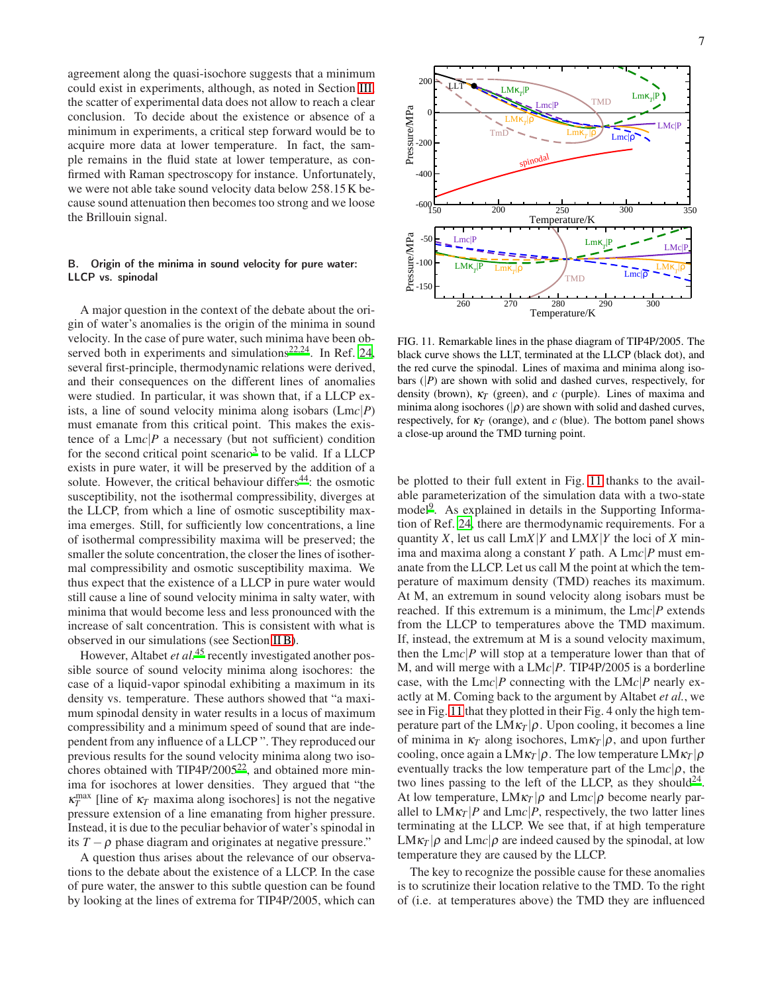agreement along the quasi-isochore suggests that a minimum could exist in experiments, although, as noted in Section [III,](#page-3-0) the scatter of experimental data does not allow to reach a clear conclusion. To decide about the existence or absence of a minimum in experiments, a critical step forward would be to acquire more data at lower temperature. In fact, the sample remains in the fluid state at lower temperature, as confirmed with Raman spectroscopy for instance. Unfortunately, we were not able take sound velocity data below 258.15K because sound attenuation then becomes too strong and we loose the Brillouin signal.

# <span id="page-6-1"></span>B. Origin of the minima in sound velocity for pure water: LLCP vs. spinodal

A major question in the context of the debate about the origin of water's anomalies is the origin of the minima in sound velocity. In the case of pure water, such minima have been ob-served both in experiments and simulations<sup>[22](#page-9-15)[,24](#page-9-17)</sup>. In Ref. [24,](#page-9-17) several first-principle, thermodynamic relations were derived, and their consequences on the different lines of anomalies were studied. In particular, it was shown that, if a LLCP exists, a line of sound velocity minima along isobars (Lm*c*|*P*) must emanate from this critical point. This makes the existence of a  $Lmc$ <sup> $p$ </sup> a necessary (but not sufficient) condition for the second critical point scenario<sup>[3](#page-9-2)</sup> to be valid. If a LLCP exists in pure water, it will be preserved by the addition of a solute. However, the critical behaviour differs<sup>[44](#page-9-38)</sup>: the osmotic susceptibility, not the isothermal compressibility, diverges at the LLCP, from which a line of osmotic susceptibility maxima emerges. Still, for sufficiently low concentrations, a line of isothermal compressibility maxima will be preserved; the smaller the solute concentration, the closer the lines of isothermal compressibility and osmotic susceptibility maxima. We thus expect that the existence of a LLCP in pure water would still cause a line of sound velocity minima in salty water, with minima that would become less and less pronounced with the increase of salt concentration. This is consistent with what is observed in our simulations (see Section [II B\)](#page-2-3).

However, Altabet *et al.*<sup>[45](#page-9-39)</sup> recently investigated another possible source of sound velocity minima along isochores: the case of a liquid-vapor spinodal exhibiting a maximum in its density vs. temperature. These authors showed that "a maximum spinodal density in water results in a locus of maximum compressibility and a minimum speed of sound that are independent from any influence of a LLCP ". They reproduced our previous results for the sound velocity minima along two isochores obtained with  $TIP4P/2005^{22}$  $TIP4P/2005^{22}$  $TIP4P/2005^{22}$ , and obtained more minima for isochores at lower densities. They argued that "the  $\kappa_T^{\text{max}}$  [line of  $\kappa_T$  maxima along isochores] is not the negative pressure extension of a line emanating from higher pressure. Instead, it is due to the peculiar behavior of water's spinodal in its  $T - \rho$  phase diagram and originates at negative pressure."

A question thus arises about the relevance of our observations to the debate about the existence of a LLCP. In the case of pure water, the answer to this subtle question can be found by looking at the lines of extrema for TIP4P/2005, which can





 $-400$ 

 $-200$ 

Pressure/MPa

200

0

LLT

<span id="page-6-0"></span>FIG. 11. Remarkable lines in the phase diagram of TIP4P/2005. The black curve shows the LLT, terminated at the LLCP (black dot), and the red curve the spinodal. Lines of maxima and minima along isobars  $(|P|)$  are shown with solid and dashed curves, respectively, for density (brown), <sup>κ</sup>*<sup>T</sup>* (green), and *c* (purple). Lines of maxima and minima along isochores ( $|\rho$ ) are shown with solid and dashed curves, respectively, for  $\kappa_T$  (orange), and  $c$  (blue). The bottom panel shows a close-up around the TMD turning point.

be plotted to their full extent in Fig. [11](#page-6-0) thanks to the available parameterization of the simulation data with a two-state model<sup>[9](#page-9-33)</sup>. As explained in details in the Supporting Information of Ref. [24,](#page-9-17) there are thermodynamic requirements. For a quantity *X*, let us call Lm*X*|*Y* and LM*X*|*Y* the loci of *X* minima and maxima along a constant *Y* path. A Lm*c*|*P* must emanate from the LLCP. Let us call M the point at which the temperature of maximum density (TMD) reaches its maximum. At M, an extremum in sound velocity along isobars must be reached. If this extremum is a minimum, the Lm*c*|*P* extends from the LLCP to temperatures above the TMD maximum. If, instead, the extremum at M is a sound velocity maximum, then the  $Lmc|P$  will stop at a temperature lower than that of M, and will merge with a LM*c*|*P*. TIP4P/2005 is a borderline case, with the Lm*c*|*P* connecting with the LM*c*|*P* nearly exactly at M. Coming back to the argument by Altabet *et al.*, we see in Fig. [11](#page-6-0) that they plotted in their Fig. 4 only the high temperature part of the  $LM\kappa_T|\rho$ . Upon cooling, it becomes a line of minima in  $\kappa_T$  along isochores,  $\text{Lm}\kappa_T|\rho$ , and upon further cooling, once again a  $LM\kappa_T|\rho$ . The low temperature  $LM\kappa_T|\rho$ eventually tracks the low temperature part of the  $Lmc|\rho$ , the two lines passing to the left of the LLCP, as they should<sup>[24](#page-9-17)</sup>. At low temperature,  $LM\kappa_T|\rho$  and  $Lmc|\rho$  become nearly parallel to  $LM\kappa_T|P$  and  $Lmc|P$ , respectively, the two latter lines terminating at the LLCP. We see that, if at high temperature  $LM\kappa_T|\rho$  and  $Lmc|\rho$  are indeed caused by the spinodal, at low temperature they are caused by the LLCP.

The key to recognize the possible cause for these anomalies is to scrutinize their location relative to the TMD. To the right of (i.e. at temperatures above) the TMD they are influenced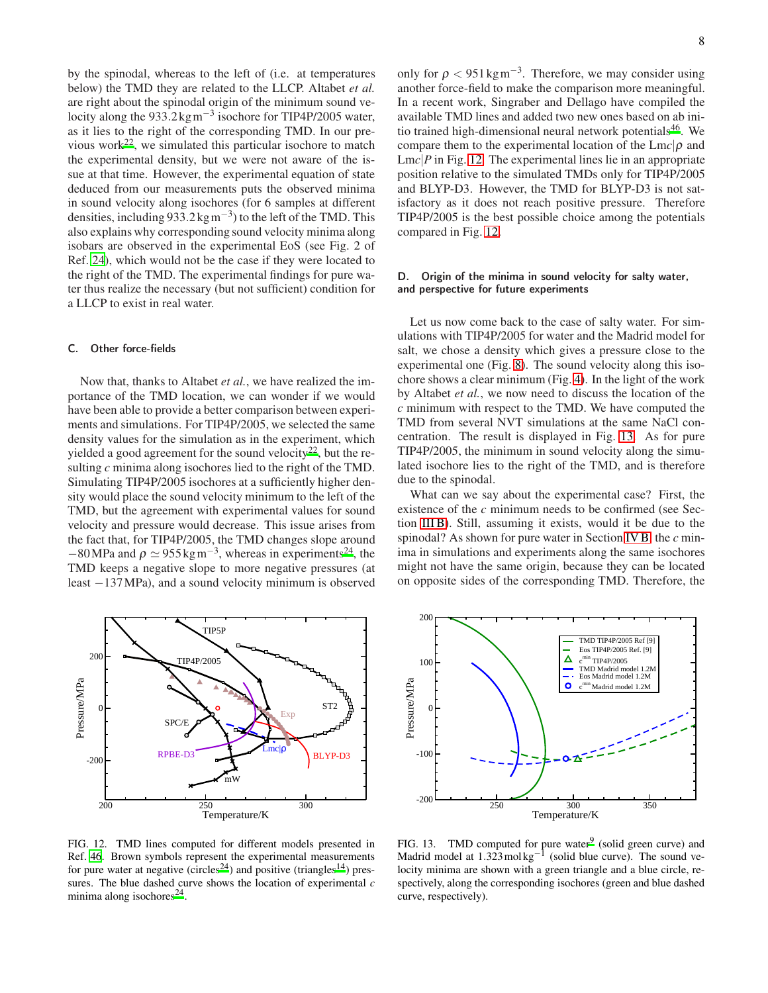by the spinodal, whereas to the left of (i.e. at temperatures below) the TMD they are related to the LLCP. Altabet *et al.* are right about the spinodal origin of the minimum sound velocity along the 933.2 kg m<sup>-3</sup> isochore for TIP4P/2005 water, as it lies to the right of the corresponding TMD. In our previous wor[k](#page-9-15)<sup>22</sup>, we simulated this particular isochore to match the experimental density, but we were not aware of the issue at that time. However, the experimental equation of state deduced from our measurements puts the observed minima in sound velocity along isochores (for 6 samples at different densities, including 933.2 kg m<sup>-3</sup>) to the left of the TMD. This also explains why corresponding sound velocity minima along isobars are observed in the experimental EoS (see Fig. 2 of Ref. [24\)](#page-9-17), which would not be the case if they were located to the right of the TMD. The experimental findings for pure water thus realize the necessary (but not sufficient) condition for a LLCP to exist in real water.

# C. Other force-fields

Now that, thanks to Altabet *et al.*, we have realized the importance of the TMD location, we can wonder if we would have been able to provide a better comparison between experiments and simulations. For TIP4P/2005, we selected the same density values for the simulation as in the experiment, which yielded a good agreement for the sound velocity<sup>[22](#page-9-15)</sup>, but the resulting *c* minima along isochores lied to the right of the TMD. Simulating TIP4P/2005 isochores at a sufficiently higher density would place the sound velocity minimum to the left of the TMD, but the agreement with experimental values for sound velocity and pressure would decrease. This issue arises from the fact that, for TIP4P/2005, the TMD changes slope around  $-80$ MPa and  $\rho \simeq 955$  kg m<sup>-3</sup>, whereas in experiments<sup>[24](#page-9-17)</sup>, the TMD keeps a negative slope to more negative pressures (at least −137MPa), and a sound velocity minimum is observed



<span id="page-7-0"></span>FIG. 12. TMD lines computed for different models presented in Ref. [46](#page-9-40). Brown symbols represent the experimental measurements for pure water at negative (circles<sup>[24](#page-9-17)</sup>) and positive (triangles<sup>[14](#page-9-8)</sup>) pressures. The blue dashed curve shows the location of experimental *c* minima along isochores<sup>[24](#page-9-17)</sup>.

only for  $\rho < 951 \text{kg m}^{-3}$ . Therefore, we may consider using another force-field to make the comparison more meaningful. In a recent work, Singraber and Dellago have compiled the available TMD lines and added two new ones based on ab ini-tio trained high-dimensional neural network potentials<sup>[46](#page-9-40)</sup>. We compare them to the experimental location of the  $Lmc|\rho$  and Lmc|*P* in Fig. [12.](#page-7-0) The experimental lines lie in an appropriate position relative to the simulated TMDs only for TIP4P/2005 and BLYP-D3. However, the TMD for BLYP-D3 is not satisfactory as it does not reach positive pressure. Therefore TIP4P/2005 is the best possible choice among the potentials compared in Fig. [12.](#page-7-0)

# D. Origin of the minima in sound velocity for salty water, and perspective for future experiments

Let us now come back to the case of salty water. For simulations with TIP4P/2005 for water and the Madrid model for salt, we chose a density which gives a pressure close to the experimental one (Fig. [8\)](#page-5-1). The sound velocity along this isochore shows a clear minimum (Fig. [4\)](#page-3-2). In the light of the work by Altabet *et al.*, we now need to discuss the location of the *c* minimum with respect to the TMD. We have computed the TMD from several NVT simulations at the same NaCl concentration. The result is displayed in Fig. [13.](#page-7-1) As for pure TIP4P/2005, the minimum in sound velocity along the simulated isochore lies to the right of the TMD, and is therefore due to the spinodal.

What can we say about the experimental case? First, the existence of the *c* minimum needs to be confirmed (see Section [III B\)](#page-4-2). Still, assuming it exists, would it be due to the spinodal? As shown for pure water in Section [IV B,](#page-6-1) the *c* minima in simulations and experiments along the same isochores might not have the same origin, because they can be located on opposite sides of the corresponding TMD. Therefore, the



<span id="page-7-1"></span>FIG. 13. TMD computed for pure water<sup>[9](#page-9-33)</sup> (solid green curve) and Madrid model at  $1.323 \text{ mol} \text{kg}^{-1}$  (solid blue curve). The sound velocity minima are shown with a green triangle and a blue circle, respectively, along the corresponding isochores (green and blue dashed curve, respectively).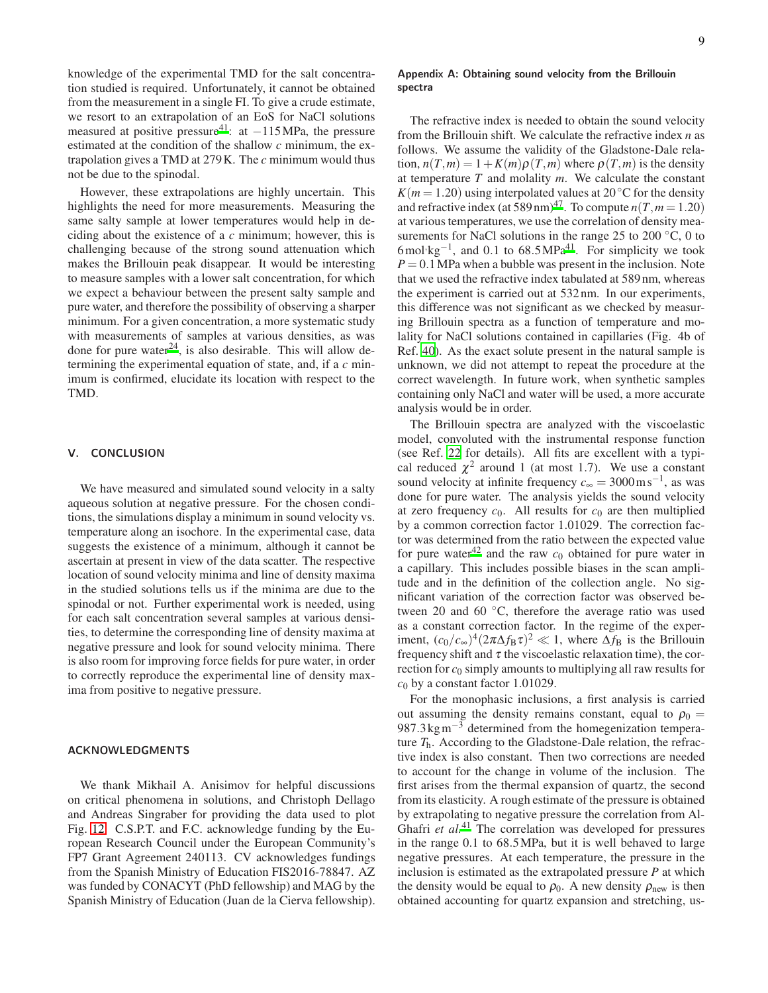knowledge of the experimental TMD for the salt concentration studied is required. Unfortunately, it cannot be obtained from the measurement in a single FI. To give a crude estimate, we resort to an extrapolation of an EoS for NaCl solutions measured at positive pressure<sup>[41](#page-9-35)</sup>: at  $-115$ MPa, the pressure estimated at the condition of the shallow *c* minimum, the extrapolation gives a TMD at 279K. The *c* minimum would thus not be due to the spinodal.

However, these extrapolations are highly uncertain. This highlights the need for more measurements. Measuring the same salty sample at lower temperatures would help in deciding about the existence of a *c* minimum; however, this is challenging because of the strong sound attenuation which makes the Brillouin peak disappear. It would be interesting to measure samples with a lower salt concentration, for which we expect a behaviour between the present salty sample and pure water, and therefore the possibility of observing a sharper minimum. For a given concentration, a more systematic study with measurements of samples at various densities, as was done for pure water $^{24}$  $^{24}$  $^{24}$ , is also desirable. This will allow determining the experimental equation of state, and, if a *c* minimum is confirmed, elucidate its location with respect to the TMD.

# V. CONCLUSION

We have measured and simulated sound velocity in a salty aqueous solution at negative pressure. For the chosen conditions, the simulations display a minimum in sound velocity vs. temperature along an isochore. In the experimental case, data suggests the existence of a minimum, although it cannot be ascertain at present in view of the data scatter. The respective location of sound velocity minima and line of density maxima in the studied solutions tells us if the minima are due to the spinodal or not. Further experimental work is needed, using for each salt concentration several samples at various densities, to determine the corresponding line of density maxima at negative pressure and look for sound velocity minima. There is also room for improving force fields for pure water, in order to correctly reproduce the experimental line of density maxima from positive to negative pressure.

#### ACKNOWLEDGMENTS

We thank Mikhail A. Anisimov for helpful discussions on critical phenomena in solutions, and Christoph Dellago and Andreas Singraber for providing the data used to plot Fig. [12.](#page-7-0) C.S.P.T. and F.C. acknowledge funding by the European Research Council under the European Community's FP7 Grant Agreement 240113. CV acknowledges fundings from the Spanish Ministry of Education FIS2016-78847. AZ was funded by CONACYT (PhD fellowship) and MAG by the Spanish Ministry of Education (Juan de la Cierva fellowship).

# <span id="page-8-0"></span>Appendix A: Obtaining sound velocity from the Brillouin spectra

The refractive index is needed to obtain the sound velocity from the Brillouin shift. We calculate the refractive index *n* as follows. We assume the validity of the Gladstone-Dale rela $t$  tion,  $n(T, m) = 1 + K(m)\rho(T, m)$  where  $\rho(T, m)$  is the density at temperature *T* and molality *m*. We calculate the constant  $K(m = 1.20)$  using interpolated values at 20<sup>°</sup>C for the density and refractive index (at 589 nm)<sup>[47](#page-9-41)</sup>. To compute  $n(T, m = 1.20)$ at various temperatures, we use the correlation of density measurements for NaCl solutions in the range 25 to 200  $°C$ , 0 to 6mol⋅kg<sup>-1</sup>, and 0.1 to 68.5MPa<sup>[41](#page-9-35)</sup>. For simplicity we took  $P = 0.1$  MPa when a bubble was present in the inclusion. Note that we used the refractive index tabulated at 589 nm, whereas the experiment is carried out at 532 nm. In our experiments, this difference was not significant as we checked by measuring Brillouin spectra as a function of temperature and molality for NaCl solutions contained in capillaries (Fig. 4b of Ref. [40\)](#page-9-34). As the exact solute present in the natural sample is unknown, we did not attempt to repeat the procedure at the correct wavelength. In future work, when synthetic samples containing only NaCl and water will be used, a more accurate analysis would be in order.

The Brillouin spectra are analyzed with the viscoelastic model, convoluted with the instrumental response function (see Ref. [22](#page-9-15) for details). All fits are excellent with a typical reduced  $\chi^2$  around 1 (at most 1.7). We use a constant sound velocity at infinite frequency  $c_{\infty} = 3000 \,\text{m}\,\text{s}^{-1}$ , as was done for pure water. The analysis yields the sound velocity at zero frequency  $c_0$ . All results for  $c_0$  are then multiplied by a common correction factor 1.01029. The correction factor was determined from the ratio between the expected value for pure water<sup>[42](#page-9-36)</sup> and the raw  $c_0$  obtained for pure water in a capillary. This includes possible biases in the scan amplitude and in the definition of the collection angle. No significant variation of the correction factor was observed between 20 and 60 ◦C, therefore the average ratio was used as a constant correction factor. In the regime of the experiment,  $(c_0/c_{\infty})^4 (2\pi \Delta f_B \tau)^2 \ll 1$ , where  $\Delta f_B$  is the Brillouin frequency shift and  $\tau$  the viscoelastic relaxation time), the correction for  $c_0$  simply amounts to multiplying all raw results for  $c_0$  by a constant factor 1.01029.

For the monophasic inclusions, a first analysis is carried out assuming the density remains constant, equal to  $\rho_0 =$ 987.3 kgm<sup> $-3$ </sup> determined from the homegenization temperature *T*h. According to the Gladstone-Dale relation, the refractive index is also constant. Then two corrections are needed to account for the change in volume of the inclusion. The first arises from the thermal expansion of quartz, the second from its elasticity. A rough estimate of the pressure is obtained by extrapolating to negative pressure the correlation from Al-Ghafri *et al[.](#page-9-35)*<sup>41</sup> The correlation was developed for pressures in the range 0.1 to 68.5MPa, but it is well behaved to large negative pressures. At each temperature, the pressure in the inclusion is estimated as the extrapolated pressure *P* at which the density would be equal to  $\rho_0$ . A new density  $\rho_{\text{new}}$  is then obtained accounting for quartz expansion and stretching, us